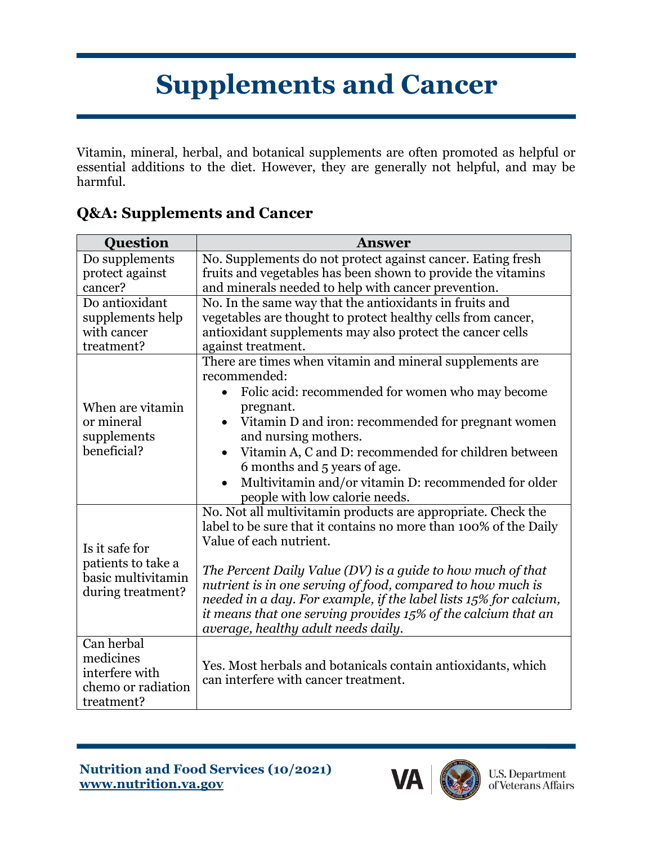## **Supplements and Cancer**

Vitamin, mineral, herbal, and botanical supplements are often promoted as helpful or essential additions to the diet. However, they are generally not helpful, and may be harmful.

| <b>Question</b>                                                                 | <b>Answer</b>                                                                                                                                                                                                                                                                                                                                                                                                                                                          |
|---------------------------------------------------------------------------------|------------------------------------------------------------------------------------------------------------------------------------------------------------------------------------------------------------------------------------------------------------------------------------------------------------------------------------------------------------------------------------------------------------------------------------------------------------------------|
| Do supplements<br>protect against<br>cancer?                                    | No. Supplements do not protect against cancer. Eating fresh<br>fruits and vegetables has been shown to provide the vitamins<br>and minerals needed to help with cancer prevention.                                                                                                                                                                                                                                                                                     |
| Do antioxidant<br>supplements help<br>with cancer<br>treatment?                 | No. In the same way that the antioxidants in fruits and<br>vegetables are thought to protect healthy cells from cancer,<br>antioxidant supplements may also protect the cancer cells<br>against treatment.                                                                                                                                                                                                                                                             |
| When are vitamin<br>or mineral<br>supplements<br>beneficial?                    | There are times when vitamin and mineral supplements are<br>recommended:<br>Folic acid: recommended for women who may become<br>pregnant.<br>Vitamin D and iron: recommended for pregnant women<br>and nursing mothers.<br>Vitamin A, C and D: recommended for children between<br>$\bullet$<br>6 months and 5 years of age.<br>Multivitamin and/or vitamin D: recommended for older<br>people with low calorie needs.                                                 |
| Is it safe for<br>patients to take a<br>basic multivitamin<br>during treatment? | No. Not all multivitamin products are appropriate. Check the<br>label to be sure that it contains no more than 100% of the Daily<br>Value of each nutrient.<br>The Percent Daily Value (DV) is a guide to how much of that<br>nutrient is in one serving of food, compared to how much is<br>needed in a day. For example, if the label lists 15% for calcium,<br>it means that one serving provides 15% of the calcium that an<br>average, healthy adult needs daily. |
| Can herbal<br>medicines<br>interfere with<br>chemo or radiation<br>treatment?   | Yes. Most herbals and botanicals contain antioxidants, which<br>can interfere with cancer treatment.                                                                                                                                                                                                                                                                                                                                                                   |

## **Q&A: Supplements and Cancer**